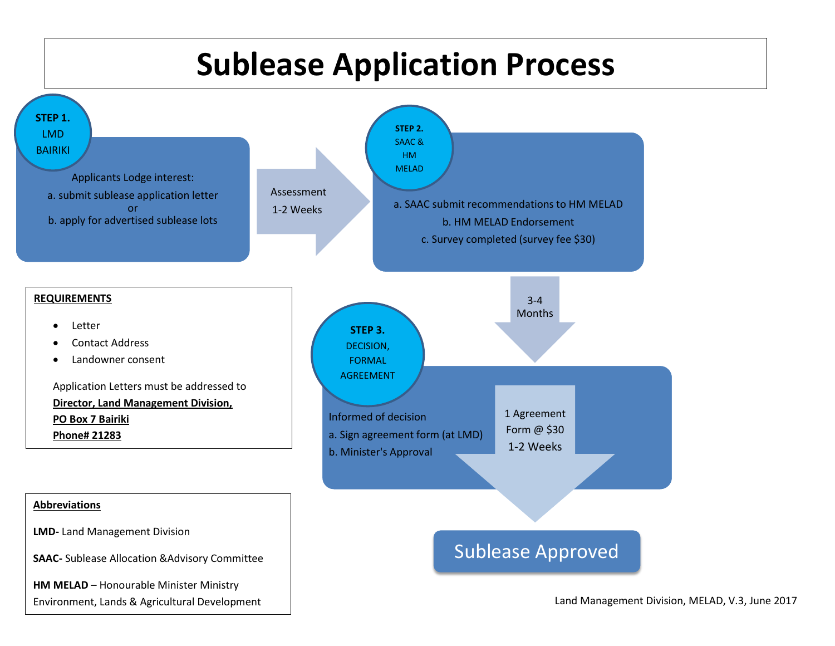## **Sublease Application Process**



Land Management Division, MELAD, V.3, June 2017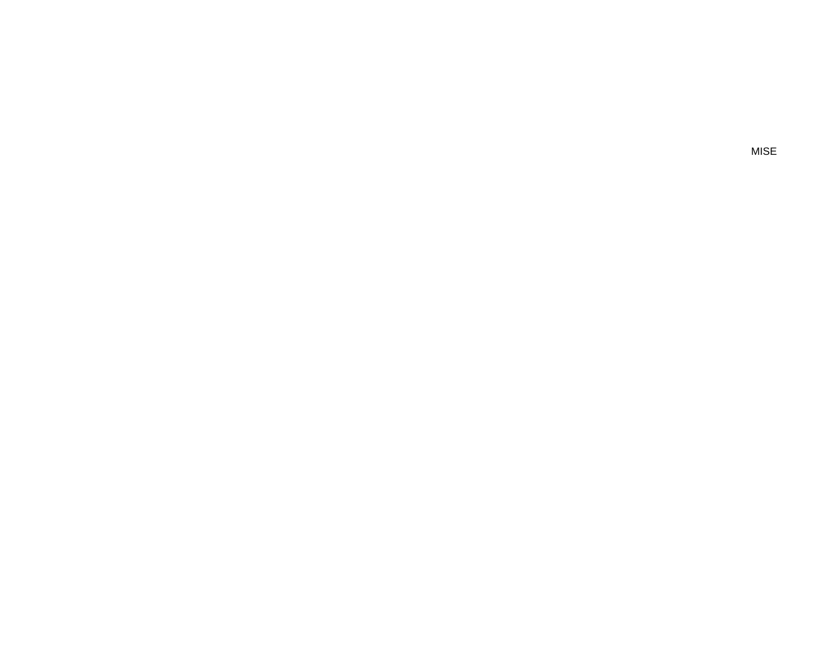**MISE**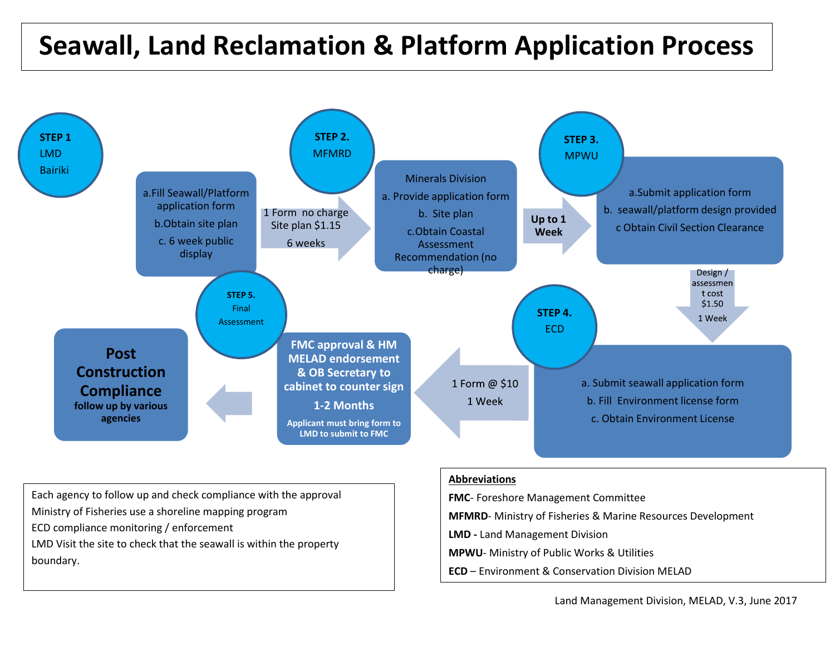## **Seawall, Land Reclamation & Platform Application Process**



Each agency to follow up and check compliance with the approval Ministry of Fisheries use a shoreline mapping program ECD compliance monitoring / enforcement LMD Visit the site to check that the seawall is within the property boundary.

## **Abbreviations**

**FMC**- Foreshore Management Committee

**MFMRD**- Ministry of Fisheries & Marine Resources Development

**LMD -** Land Management Division

**MPWU**- Ministry of Public Works & Utilities

**ECD** – Environment & Conservation Division MELAD

Land Management Division, MELAD, V.3, June 2017